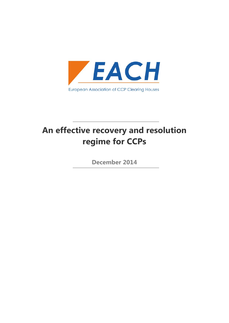

# **An effective recovery and resolution regime for CCPs**

**December 2014**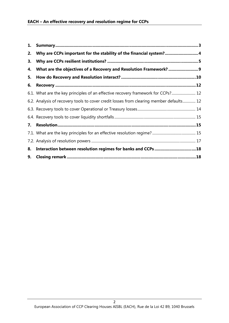| 1. |                                                                                         |  |
|----|-----------------------------------------------------------------------------------------|--|
| 2. | Why are CCPs important for the stability of the financial system?4                      |  |
| 3. |                                                                                         |  |
| 4. |                                                                                         |  |
| 5. |                                                                                         |  |
| 6. |                                                                                         |  |
|    | 6.1. What are the key principles of an effective recovery framework for CCPs? 12        |  |
|    | 6.2. Analysis of recovery tools to cover credit losses from clearing member defaults 12 |  |
|    |                                                                                         |  |
|    |                                                                                         |  |
| 7. |                                                                                         |  |
|    |                                                                                         |  |
|    |                                                                                         |  |
|    |                                                                                         |  |
| 9. |                                                                                         |  |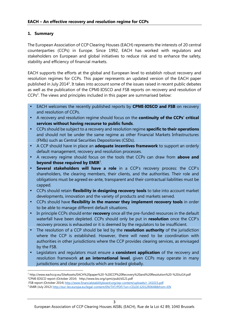# **1. Summary**

The European Association of CCP Clearing Houses (EACH) represents the interests of 20 central counterparties (CCPs) in Europe. Since 1992, EACH has worked with regulators and stakeholders on European and global initiatives to reduce risk and to enhance the safety, stability and efficiency of financial markets.

EACH supports the efforts at the global and European level to establish robust recovery and resolution regimes for CCPs. This paper represents an updated version of the EACH paper published in July 2014<sup>1</sup>. It takes into account some of the issues raised in recent public debates as well as the publication of the CPMI-IOSCO and FSB reports on recovery and resolution of CCPs<sup>2</sup>. The views and principles included in this paper are summarised below:

- EACH welcomes the recently published reports by **CPMI-IOSCO and FSB** on recovery and resolution of CCPs.
- A recovery and resolution regime should focus on the **continuity of the CCPs' critical services without having recourse to public funds**.
- CCPs should be subject to a recovery and resolution regime **specific to their operations** and should not be under the same regime as other Financial Markets Infrastructures (FMIs) such as Central Securities Depositories (CSDs).
- A CCP should have in place an **adequate incentives framework** to support an orderly default management, recovery and resolution processes.
- A recovery regime should focus on the tools that CCPs can draw from **above and beyond those required by EMIR**<sup>3</sup> .
- **Several stakeholders will have a role** in a CCP's recovery process: the CCP's shareholders, the clearing members, their clients, and the authorities. Their role and obligations must be agreed ex-ante, transparent and their contractual liabilities must be capped.
- CCPs should retain **flexibility in designing recovery tools** to take into account market developments, innovation and the variety of products and markets served.
- CCPs should have **flexibility in the manner they implement recovery tools** in order to be able to manage different default situations.
- In principle CCPs should enter **recovery** once all the pre-funded resources in the default waterfall have been depleted. CCPs should only be put in **resolution** once the CCP's recovery process is exhausted or it is deemed by the regulators to be insufficient.
- The resolution of a CCP should be led by the **resolution authority** of the jurisdiction where the CCP is established. However, there will need to be coordination with authorities in other jurisdictions where the CCP provides clearing services, as envisaged by the FSB.
- Legislators and regulators must ensure a **consistent application** of the recovery and resolution framework **at an international level**, given CCPs may operate in many jurisdictions and clear products which are traded globally.

FSB report (October 2014) http://www.financialstabilityboard.org/wp-content/uploads/r\_141015.pdf

<sup>1</sup> http://www.eachccp.eu/SiteAssets/EACH%20paper%20-%20CCP%20Recovery%20and%20Resolution%20-%20Jul14.pdf <sup>2</sup>CPMI-IOSCO report (October 2014) http://www.bis.org/cpmi/publ/d121.pdf

<sup>&</sup>lt;sup>3</sup> EMIR (July 2012) http://eur-lex.europa.eu/legal-content/EN/TXT/PDF/?uri=CELEX:32012R0648&from=EN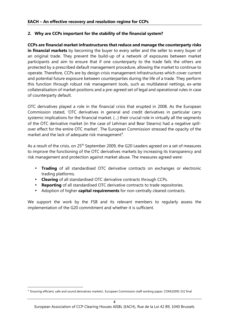# **2. Why are CCPs important for the stability of the financial system?**

**CCPs are financial market infrastructures that reduce and manage the counterparty risks in financial markets** by becoming the buyer to every seller and the seller to every buyer of an original trade. They prevent the build-up of a network of exposures between market participants and aim to ensure that if one counterparty to the trade fails the others are protected by a prescribed default management procedure, allowing the market to continue to operate. Therefore, CCPs are by design crisis management infrastructures which cover current and potential future exposure between counterparties during the life of a trade. They perform this function through robust risk management tools, such as multilateral nettings, ex-ante collateralisation of market positions and a pre-agreed set of legal and operational rules in case of counterparty default.

OTC derivatives played a role in the financial crisis that erupted in 2008. As the European Commission stated, 'OTC derivatives in general and credit derivatives in particular carry systemic implications for the financial market. (…) their crucial role in virtually all the segments of the OTC derivative market (in the case of Lehman and Bear Stearns) had a negative spill over effect for the entire OTC market'. The European Commission stressed the opacity of the market and the lack of adequate risk management<sup>4</sup>.

As a result of the crisis, on 25<sup>th</sup> September 2009, the G20 Leaders agreed on a set of measures to improve the functioning of the OTC derivatives markets by increasing its transparency and risk management and protection against market abuse. The measures agreed were:

- **Trading** of all standardised OTC derivative contracts on exchanges or electronic trading platforms.
- **Clearing** of all standardised OTC derivative contracts through CCPs.
- **Reporting** of all standardised OTC derivative contracts to trade repositories.
- Adoption of higher **capital requirements** for non-centrally cleared contracts.

We support the work by the FSB and its relevant members to regularly assess the implementation of the G20 commitment and whether it is sufficient.

<sup>4</sup> 'Ensuring efficient, safe and sound derivatives markets', European Commission staff working paper, COM(2009) 332 final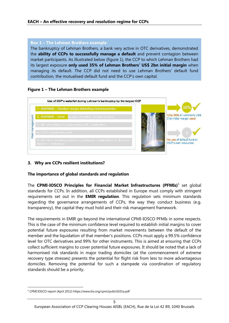# **Box 1 – The Lehman Brothers example**

The bankruptcy of Lehman Brothers, a bank very active in OTC derivatives, demonstrated the **ability of CCPs to successfully manage a default** and prevent contagion between market participants. As illustrated below (figure 1), the CCP to which Lehman Brothers had its largest exposure **only used 35% of Lehman Brothers' US\$ 2bn initial margin** when managing its default. The CCP did not need to use Lehman Brothers' default fund contribution, the mutualised default fund and the CCP's own capital.

# **Figure 1 – The Lehman Brothers example**



# **3. Why are CCPs resilient institutions?**

# **The importance of global standards and regulation**

The **CPMI-IOSCO Principles for Financial Market Infrastructures (PFMIs)**<sup>5</sup> set global standards for CCPs. In addition, all CCPs established in Europe must comply with stringent requirements set out in the **EMIR regulation**. This regulation sets minimum standards regarding the governance arrangements of CCPs, the way they conduct business (e.g. transparency), the capital they must hold and their risk management framework.

The requirements in EMIR go beyond the international CPMI-IOSCO PFMIs in some respects. This is the case of the minimum confidence level required to establish initial margins to cover potential future exposures resulting from market movements between the default of the member and the liquidation of that member's positions. CCPs must apply a 99.5% confidence level for OTC derivatives and 99% for other instruments. This is aimed at ensuring that CCPs collect sufficient margins to cover potential future exposures. It should be noted that a lack of harmonised risk standards in major trading domiciles (at the commencement of extreme recovery type stresses) presents the potential for flight risk from less to more advantageous domiciles. Removing the potential for such a stampede via coordination of regulatory standards should be a priority.

<sup>5</sup> CPMI IOSCO report (April 2012) https://www.bis.org/cpmi/publ/d101a.pdf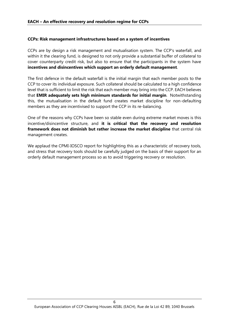# **CCPs: Risk management infrastructures based on a system of incentives**

CCPs are by design a risk management and mutualisation system. The CCP's waterfall, and within it the clearing fund, is designed to not only provide a substantial buffer of collateral to cover counterparty credit risk, but also to ensure that the participants in the system have **incentives and disincentives which support an orderly default management**.

The first defence in the default waterfall is the initial margin that each member posts to the CCP to cover its individual exposure. Such collateral should be calculated to a high confidence level that is sufficient to limit the risk that each member may bring into the CCP. EACH believes that **EMIR adequately sets high minimum standards for initial margin**. Notwithstanding this, the mutualisation in the default fund creates market discipline for non-defaulting members as they are incentivised to support the CCP in its re-balancing.

One of the reasons why CCPs have been so stable even during extreme market moves is this incentive/disincentive structure, and **it is critical that the recovery and resolution framework does not diminish but rather increase the market discipline** that central risk management creates.

We applaud the CPMI-IOSCO report for highlighting this as a characteristic of recovery tools, and stress that recovery tools should be carefully judged on the basis of their support for an orderly default management process so as to avoid triggering recovery or resolution.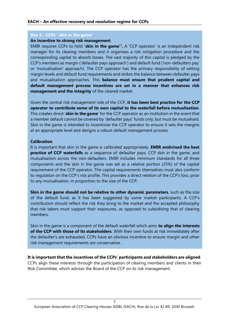#### **Box 2 - CCPs' 'skin in the game'**

#### **An incentive to strong risk management**

EMIR requires CCPs to hold '**skin in the game'**<sup>1</sup> **.** A 'CCP operator' is an independent risk manager for its clearing members and it organises a risk mitigation procedure and the corresponding capital to absorb losses. The vast majority of this capital is pledged by the CCP's members as margin ('defaulter pays approach') and default fund ('non-defaulters pay' or 'mutualisation' approach). The CCP operator has the primary responsibility of setting margin levels and default fund requirements and strikes the balance between defaulter pays and mutualisation approaches. This **balance must ensure that prudent capital and default management process incentives are set in a manner that enhances risk management and the integrity** of the cleared market.

Given the central risk management role of the CCP, **it has been best practice for the CCP operator to contribute some of its own capital to the waterfall before mutualisation**. This creates direct '**skin in the game**' for the CCP operator as an institution in the event that a member default cannot be covered by 'defaulter pays' funds only, but must be mutualised. Skin in the game is intended to incentivise the CCP operator to ensure it sets the margins at an appropriate level and designs a robust default management process.

#### **Calibration**

It is important that skin in the game is calibrated appropriately. **EMIR enshrined the best practice of CCP waterfalls** as a sequence of defaulter pays, CCP skin in the game, and mutualisation across the non-defaulters. EMIR includes minimum standards for all three components and the skin in the game was set as a relative portion (25%) of the capital requirement of the CCP operator. The capital requirements themselves must also conform to regulation on the CCP's risk profile. This provides a direct relation of the CCP's loss, prior to any mutualisation, in proportion to the size of the CCP.

**Skin in the game should not be relative to other dynamic parameters**, such as the size of the default fund, as it has been suggested by some market participants. A CCP's contribution should reflect the risk they bring to the market and the accepted philosophy that risk takers must support their exposures, as opposed to subsidising that of clearing members.

Skin in the game is a component of the default waterfall which aims **to align the interests of the CCP with those of its stakeholders**. With their own funds at risk immediately after the defaulter's are exhausted, CCPs have an obvious incentive to ensure margin and other risk management requirements are conservative.

**It is important that the incentives of the CCPs' participants and stakeholders are aligned**. CCPs align these interests through the participation of clearing members and clients in their Risk Committee, which advises the Board of the CCP on its risk management.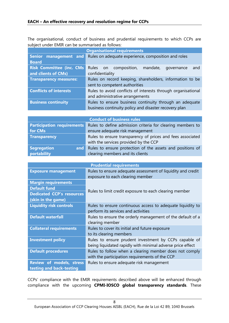The organisational, conduct of business and prudential requirements to which CCPs are subject under EMIR can be summarised as follows:

|                                  | <b>Organisational requirements</b>                           |  |  |
|----------------------------------|--------------------------------------------------------------|--|--|
| Senior management and            | Rules on adequate experience, composition and roles          |  |  |
| <b>Board</b>                     |                                                              |  |  |
| <b>Risk Committee (inc. CMs)</b> | Rules on composition, mandate,<br>governance<br>and          |  |  |
| and clients of CMs)              | confidentiality                                              |  |  |
| <b>Transparency measures:</b>    | Rules on record keeping, shareholders, information to be     |  |  |
|                                  | sent to competent authorities                                |  |  |
| <b>Conflicts of interests</b>    | Rules to avoid conflicts of interests through organisational |  |  |
|                                  | and administrative arrangements                              |  |  |
| <b>Business continuity</b>       | Rules to ensure business continuity through an adequate      |  |  |
|                                  | business continuity policy and disaster recovery plan        |  |  |

|                                   | <b>Conduct of business rules</b>                              |
|-----------------------------------|---------------------------------------------------------------|
| <b>Participation requirements</b> | Rules to define admission criteria for clearing members to    |
| for CMs                           | ensure adequate risk management                               |
| <b>Transparency</b>               | Rules to ensure transparency of prices and fees associated    |
|                                   | with the services provided by the CCP                         |
| <b>Segregation</b>                | and Rules to ensure protection of the assets and positions of |
| portability                       | clearing members and its clients                              |

| <b>Prudential requirements</b>   |                                                             |  |  |
|----------------------------------|-------------------------------------------------------------|--|--|
| <b>Exposure management</b>       | Rules to ensure adequate assessment of liquidity and credit |  |  |
|                                  | exposure to each clearing member                            |  |  |
| <b>Margin requirements</b>       |                                                             |  |  |
| <b>Default fund</b>              |                                                             |  |  |
| <b>Dedicated CCP's resources</b> | Rules to limit credit exposure to each clearing member      |  |  |
| (skin in the game)               |                                                             |  |  |
| <b>Liquidity risk controls</b>   | Rules to ensure continuous access to adequate liquidity to  |  |  |
|                                  | perform its services and activities                         |  |  |
| <b>Default waterfall</b>         | Rules to ensure the orderly management of the default of a  |  |  |
|                                  | clearing member                                             |  |  |
| <b>Collateral requirements</b>   | Rules to cover its initial and future exposure              |  |  |
|                                  | to its clearing members                                     |  |  |
| <b>Investment policy</b>         | Rules to ensure prudent investment by CCPs capable of       |  |  |
|                                  | being liquidated rapidly with minimal adverse price effect  |  |  |
| <b>Default procedures</b>        | Rules to follow when a clearing member does not comply      |  |  |
|                                  | with the participation requirements of the CCP              |  |  |
| Review of models, stress         | Rules to ensure adequate risk management                    |  |  |
| testing and back-testing         |                                                             |  |  |

CCPs' compliance with the EMIR requirements described above will be enhanced through compliance with the upcoming **CPMI-IOSCO global transparency standards**. These

 $\overline{8}$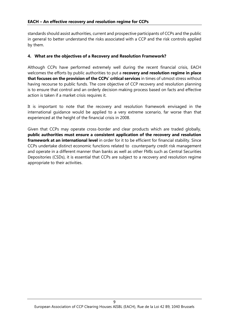standards should assist authorities, current and prospective participants of CCPs and the public in general to better understand the risks associated with a CCP and the risk controls applied by them.

# **4. What are the objectives of a Recovery and Resolution Framework?**

Although CCPs have performed extremely well during the recent financial crisis, EACH welcomes the efforts by public authorities to put a **recovery and resolution regime in place that focuses on the provision of the CCPs' critical services** in times of utmost stress without having recourse to public funds. The core objective of CCP recovery and resolution planning is to ensure that control and an orderly decision making process based on facts and effective action is taken if a market crisis requires it.

It is important to note that the recovery and resolution framework envisaged in the international guidance would be applied to a very extreme scenario, far worse than that experienced at the height of the financial crisis in 2008.

Given that CCPs may operate cross-border and clear products which are traded globally, **public authorities must ensure a consistent application of the recovery and resolution framework at an international level** in order for it to be efficient for financial stability. Since CCPs undertake distinct economic functions related to counterparty credit risk management and operate in a different manner than banks as well as other FMIs such as Central Securities Depositories (CSDs), it is essential that CCPs are subject to a recovery and resolution regime appropriate to their activities.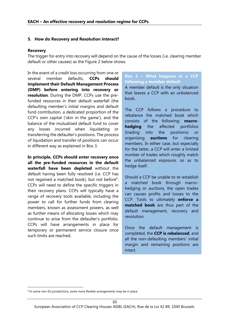#### **5. How do Recovery and Resolution interact?**

#### **Recovery**

The trigger for entry into recovery will depend on the cause of the losses (i.e. clearing member default or other causes) as the Figure 2 below shows.

In the event of a credit loss occurring from one or several member defaults, **CCPs should implement their Default Management Process (DMP) before entering into recovery or resolution**. During the DMP, CCPs use the prefunded resources in their default waterfall (the defaulting member's initial margins and default fund contribution, a dedicated proportion of the CCP's own capital ('skin in the game'), and the balance of the mutualised default fund to cover any losses incurred when liquidating or transferring the defaulter's positions. The process of liquidation and transfer of positions can occur in different way as explained in Box 3.

**In principle, CCPs should enter recovery once all the pre-funded resources in the default waterfall have been depleted** without the default having been fully resolved (i.e. CCP has not regained a matched book), but not before<sup>6</sup>. CCPs will need to define the specific triggers in their recovery plans. CCPs will typically have a range of recovery tools available, including the power to call for further funds from clearing members, known as assessment powers, as well as further means of allocating losses which may continue to arise from the defaulter's portfolio. CCPs will have arrangements in place for temporary or permanent service closure once such limits are reached.

# **Box 3 – What happens in a CCP following a member default**

A member default is the only situation that leaves a CCP with an unbalanced book.

The CCP follows a procedure to rebalance the matched book which consists of the following: **macro** the affected portfolios (trading into the positions) or organising **auctions** for clearing members. In either case, but especially for the latter, a CCP will enter a limited number of trades which roughly match the unbalanced exposure, so as to hedge itself.

Should a CCP be unable to re-establish a matched book through macro hedging or auctions, the open trades can causes profits and losses to the CCP. Tools to ultimately **enforce a matched book** are thus part of the default management, recovery and resolution.

Once the default management is completed, the **CCP is rebalanced**, and all the non-defaulting members' initial margin and remaining positions are intact.

<sup>&</sup>lt;sup>6</sup> In some non-EU jurisdictions, some more flexible arrangements may be in place.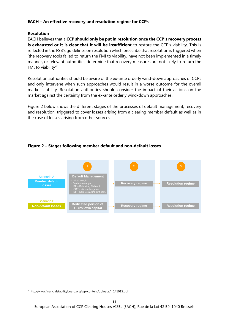# **Resolution**

EACH believes that a **CCP should only be put in resolution once the CCP's recovery process is exhausted or it is clear that it will be insufficient** to restore the CCP's viability. This is reflected in the FSB's guidelines on resolution which prescribe that resolution is triggered when 'the recovery tools failed to return the FMI to viability, have not been implemented in a timely manner, or relevant authorities determine that recovery measures are not likely to return the FMI to viability'<sup>7</sup>.

Resolution authorities should be aware of the ex-ante orderly wind-down approaches of CCPs and only intervene when such approaches would result in a worse outcome for the overall market stability. Resolution authorities should consider the impact of their actions on the market against the certainty from the ex-ante orderly wind-down approaches.

Figure 2 below shows the different stages of the processes of default management, recovery and resolution, triggered to cover losses arising from a clearing member default as well as in the case of losses arising from other sources.

# **Figure 2 – Stages following member default and non-default losses**



<sup>7</sup> http://www.financialstabilityboard.org/wp-content/uploads/r\_141015.pdf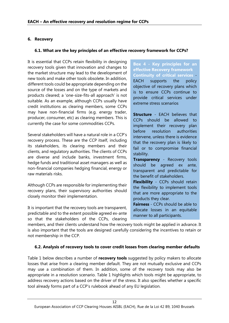# **6. Recovery**

# **6.1. What are the key principles of an effective recovery framework for CCPs?**

It is essential that CCPs retain flexibility in designing recovery tools given that innovation and changes to the market structure may lead to the development of new tools and make other tools obsolete. In addition, different tools could be appropriate depending on the source of the losses and on the type of markets and products cleared; a 'one-size-fits-all approach' is not suitable. As an example, although CCPs usually have credit institutions as clearing members, some CCPs may have non-financial firms (e.g. energy trader, producer, consumer, etc) as clearing members. This is currently the case for some commodities CCPs.

Several stakeholders will have a natural role in a CCP's recovery process. These are the CCP itself, including its stakeholders, its clearing members and their clients, and regulatory authorities. The clients of CCPs are diverse and include banks, investment firms, hedge funds and traditional asset managers as well as non-financial companies hedging financial, energy or raw materials risks.

Although CCPs are responsible for implementing their recovery plans, their supervisory authorities should closely monitor their implementation.

It is important that the recovery tools are transparent, predictable and to the extent possible agreed ex-ante so that the stakeholders of the CCPs, clearing **Box 4 - Key principles for an effective Recovery framework Continuity of critical services** supports the policy objective of recovery plans which is to ensure CCPs continue to provide critical services under extreme stress scenarios

**Structure** - FACH believes that CCPs should be allowed to implement their recovery plan resolution authorities intervene, unless there is evidence that the recovery plan is likely to fail or to compromise financial stability.

**Transparency** - Recovery tools should be agreed ex ante, transparent and predictable for the benefit of stakeholders.

**Flexibility** - CCPs should retain the flexibility to implement tools that are more appropriate to the products they clear.

**Fairness** - CCPs should be able to allocate losses in an equitable manner to all participants.

members, and their clients understand how the recovery tools might be applied in advance. It is also important that the tools are designed carefully considering the incentives to retain or not membership in the CCP.

# **6.2. Analysis of recovery tools to cover credit losses from clearing member defaults**

Table 1 below describes a number of **recovery tools** suggested by policy makers to allocate losses that arise from a clearing member default. They are not mutually exclusive and CCPs may use a combination of them. In addition, some of the recovery tools may also be appropriate in a resolution scenario. Table 1 highlights which tools might be appropriate, to address recovery actions based on the driver of the stress. It also specifies whether a specific tool already forms part of a CCP's rulebook ahead of any EU legislation.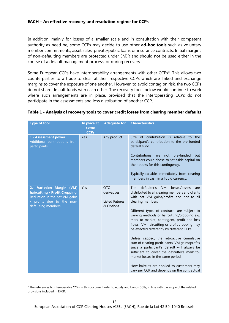In addition, mainly for losses of a smaller scale and in consultation with their competent authority as need be, some CCPs may decide to use other **ad-hoc tools** such as voluntary member commitments, asset sales, private/public loans or insurance contracts. Initial margins of non-defaulting members are protected under EMIR and should not be used either in the course of a default management process, or during recovery.

Some European CCPs have interoperability arrangements with other CCPs<sup>8</sup>. This allows two counterparties to a trade to clear at their respective CCPs which are linked and exchange margins to cover the exposure of one another. However, to avoid contagion risk, the two CCPs do not share default funds with each other. The recovery tools below would continue to work where such arrangements are in place, provided that the interoperating CCPs do not participate in the assessments and loss distribution of another CCP.

| <b>Type of tool</b>                                                                                                                            | In place at<br>some | <b>Adequate for</b>                                             | <b>Characteristics</b>                                                                                                                                                                                                                                                                                                                                                                                                                                                                                                                                                                                                                                                                                                                                 |
|------------------------------------------------------------------------------------------------------------------------------------------------|---------------------|-----------------------------------------------------------------|--------------------------------------------------------------------------------------------------------------------------------------------------------------------------------------------------------------------------------------------------------------------------------------------------------------------------------------------------------------------------------------------------------------------------------------------------------------------------------------------------------------------------------------------------------------------------------------------------------------------------------------------------------------------------------------------------------------------------------------------------------|
| 1.- Assessment power<br>Additional contributions from<br>participants                                                                          | <b>CCPs</b><br>Yes  | Any product                                                     | Size of contribution is relative to the<br>participant's contribution to the pre-funded<br>default fund.<br>Contributions<br>not pre-funded<br>but<br>are<br>members could chose to set aside capital on<br>their books for this contingency.<br>Typically callable immediately from clearing<br>members in cash in a liquid currency.                                                                                                                                                                                                                                                                                                                                                                                                                 |
| 2.- Variation Margin (VM)<br>haircutting / Profit Cropping<br>Reduction in the net VM gains<br>/ profits due to the non-<br>defaulting members | Yes                 | <b>OTC</b><br>derivatives<br><b>Listed Futures</b><br>& Options | defaulter's<br>VM<br>losses/losses<br><b>The</b><br>are<br>distributed to all clearing members and clients<br>with net VM gains/profits and not to all<br>clearing members<br>Different types of contracts are subject to<br>varying methods of haircutting/cropping e.g.<br>mark to market, contingent, profit and loss<br>flows. VM haircutting or profit cropping may<br>be effected differently by different CCPs.<br>Unless capped, the retroactive cumulative<br>sum of clearing participants' VM gains/profits<br>since a participant's default will always be<br>sufficient to cover the defaulter's mark-to-<br>market losses in the same period.<br>How haircuts are applied to customers may<br>vary per CCP and depends on the contractual |

#### **Table 1 - Analysis of recovery tools to cover credit losses from clearing member defaults**

<sup>&</sup>lt;sup>8</sup> The references to interoperable CCPs in this document refer to equity and bonds CCPs, in line with the scope of the related provisions included in EMIR.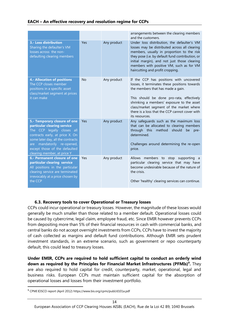|                                                                                                                                                                                                                                                                    |           |             | arrangements between the clearing members<br>and the customers.                                                                                                                                                                                                                                                                          |
|--------------------------------------------------------------------------------------------------------------------------------------------------------------------------------------------------------------------------------------------------------------------|-----------|-------------|------------------------------------------------------------------------------------------------------------------------------------------------------------------------------------------------------------------------------------------------------------------------------------------------------------------------------------------|
| 3.- Loss distribution<br>Sharing the defaulter's VM<br>losses across the non-<br>defaulting clearing members                                                                                                                                                       | Yes       | Any product | Under loss distribution, the defaulter's VM<br>losses may be distributed across all clearing<br>members, usually in proportion to the risk<br>they pose (i.e. by default fund contribution, or<br>initial margin), and not just those clearing<br>members with positive VM, such as for VM<br>haircutting and profit cropping.           |
| <b>4.- Allocation of positions</b><br>The CCP closes member<br>positions in a specific asset<br>class/market segment at prices<br>it can make                                                                                                                      | <b>No</b> | Any product | If the CCP has positions with uncovered<br>losses, it terminates these positions towards<br>the members that has made a gain.<br>This should be done pro-rata, effectively<br>shrinking a members' exposure to the asset<br>class/market segment of the market where<br>there is a loss that the CCP cannot cover with<br>its resources. |
| 5.- Temporary closure of one<br>particular clearing service<br>The CCP legally closes all<br>contracts early, at price X. On<br>some later day, all the contracts<br>mandatorily re-opened,<br>are<br>except those of the defaulted<br>clearing member, at price Y | Yes       | Any product | Any safeguards such as the maximum loss<br>that can be allocated to clearing members<br>through this method should<br>be<br>pre-<br>determined.<br>Challenges around determining the re-open<br>price.                                                                                                                                   |
| 6.- Permanent closure of one<br>particular clearing service<br>All positions in the particular<br>clearing service are terminated<br>irrevocably at a price chosen by<br>the CCP                                                                                   | Yes       | Any product | Allows members to stop supporting a<br>particular clearing service that may have<br>become undesirable because of the nature of<br>the crisis.<br>Other 'healthy' clearing services can continue.                                                                                                                                        |

# **6.3. Recovery tools to cover Operational or Treasury losses**

CCPs could incur operational or treasury losses. However, the magnitude of these losses would generally be much smaller than those related to a member default. Operational losses could be caused by cybercrime, legal claim, employee fraud, etc. Since EMIR however prevents CCPs from depositing more than 5% of their financial resources in cash with commercial banks, and central banks do not accept overnight investments from CCPs, CCPs have to invest the majority of cash collected as margins and default fund contributions. Although EMIR sets prudent investment standards, in an extreme scenario, such as government or repo counterparty default, this could lead to treasury losses.

**Under EMIR, CCPs are required to hold sufficient capital to conduct an orderly wind down as required by the Principles for Financial Market Infrastructures (PFMIs) 9 .** They are also required to hold capital for credit, counterparty, market, operational, legal and business risks. European CCPs must maintain sufficient capital for the absorption of operational losses and losses from their investment portfolio.

<sup>9</sup> CPMI IOSCO report (April 2012) https://www.bis.org/cpmi/publ/d101a.pdf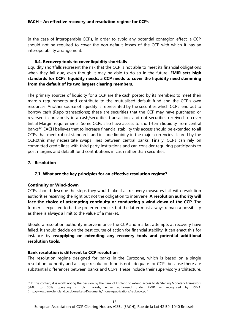In the case of interoperable CCPs, in order to avoid any potential contagion effect, a CCP should not be required to cover the non-default losses of the CCP with which it has an interoperability arrangement.

# **6.4. Recovery tools to cover liquidity shortfalls**

Liquidity shortfalls represent the risk that the CCP is not able to meet its financial obligations when they fall due, even though it may be able to do so in the future. **EMIR sets high standards for CCPs' liquidity needs: a CCP needs to cover the liquidity need stemming from the default of its two largest clearing members.**

The primary sources of liquidity for a CCP are the cash posted by its members to meet their margin requirements and contribute to the mutualised default fund and the CCP's own resources. Another source of liquidity is represented by the securities which CCPs lend out to borrow cash (Repo transactions); these are securities that the CCP may have purchased or reversed in previously in a cash/securities transaction, and not securities received to cover Initial Margin requirements. Some CCPs also have access to short-term liquidity from central banks<sup>10</sup>. EACH believes that to increase financial stability this access should be extended to all CCPs that meet robust standards and include liquidity in the major currencies cleared by the CCPs;this may necessitate swaps lines between central banks. Finally, CCPs can rely on committed credit lines with third party institutions and can consider requiring participants to post margins and default fund contributions in cash rather than securities.

# **7. Resolution**

# **7.1. What are the key principles for an effective resolution regime?**

# **Continuity or Wind-down**

CCPs should describe the steps they would take if all recovery measures fail, with resolution authorities reserving the right but not the obligation to intervene. **A resolution authority will face the choice of attempting continuity or conducting a wind-down of the CCP**. The former is expected to be the preferred choice, but the latter must always remain a possibility as there is always a limit to the value of a market.

Should a resolution authority intervene once the CCP and market attempts at recovery have failed, it should decide on the best course of action for financial stability. It can enact this for instance by **reapplying or extending any recovery tools and potential additional resolution tools**.

# **Bank resolution is different to CCP resolution**

The resolution regime designed for banks in the Eurozone, which is based on a single resolution authority and a single resolution fund is not adequate for CCPs because there are substantial differences between banks and CCPs. These include their supervisory architecture,

<sup>&</sup>lt;sup>10</sup> In this context, it is worth noting the decision by the Bank of England to extend access to its Sterling Monetary Framework (SMF) to CCPs operating in UK markets, either authorised under EMIR or recognised by ESMA. (http://www.bankofengland.co.uk/markets/Documents/money/publications/redbook.pdf)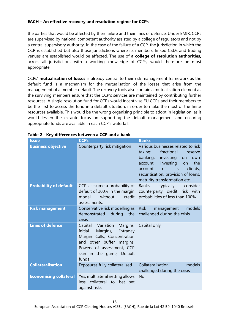# **EACH – An effective recovery and resolution regime for CCPs**

the parties that would be affected by their failure and their lines of defence. Under EMIR, CCPs are supervised by national competent authority assisted by a college of regulators and not by a central supervisory authority. In the case of the failure of a CCP, the jurisdiction in which the CCP is established but also those jurisdictions where its members, linked CSDs and trading venues are established would be affected. The use of **a college of resolution authorities,** across all jurisdictions with a working knowledge of CCPs, would therefore be most appropriate.

CCPs' **mutualisation of losses** is already central to their risk management framework as the default fund is a mechanism for the mutualisation of the losses that arise from the management of a member default. The recovery tools also contain a mutualisation element as the surviving members ensure that the CCP's services are maintained by contributing further resources. A single resolution fund for CCPs would incentivise EU CCPs and their members to be the first to access the fund in a default situation, in order to make the most of the finite resources available. This would be the wrong organising principle to adopt in legislation, as it would lessen the ex-ante focus on supporting the default management and ensuring appropriate funds are available in each CCP's waterfall.

| <b>Issue</b>                  | <b>CCPs</b>                                                                                                                                                                                      | <b>Banks</b>                                                                                                                                                                                                                                                         |
|-------------------------------|--------------------------------------------------------------------------------------------------------------------------------------------------------------------------------------------------|----------------------------------------------------------------------------------------------------------------------------------------------------------------------------------------------------------------------------------------------------------------------|
| <b>Business objective</b>     | Counterparty risk mitigation                                                                                                                                                                     | Various businesses related to risk<br>fractional<br>taking:<br>reserve<br>banking,<br>investing<br>on<br>own<br>investing<br>the<br>account,<br><b>on</b><br>of<br>its<br>clients,<br>account<br>securitisation, provision of loans,<br>maturity transformation etc. |
| <b>Probability of default</b> | CCP's assume a probability of<br>default of 100% in the margin<br>model<br>without<br>credit<br>assessments.                                                                                     | <b>Banks</b><br>typically<br>consider<br>counterparty credit risk with<br>probabilities of less than 100%.                                                                                                                                                           |
| <b>Risk management</b>        | Conservative risk modelling as<br>during<br>demonstrated<br>the<br>crisis                                                                                                                        | models<br><b>Risk</b><br>management<br>challenged during the crisis                                                                                                                                                                                                  |
| <b>Lines of defence</b>       | Capital, Variation<br>Margins,<br>Initial<br>Margins,<br>Intraday<br>Margin Calls, Concentration<br>and other buffer margins,<br>Powers of assessment, CCP<br>skin in the game, Default<br>funds | Capital only                                                                                                                                                                                                                                                         |
| <b>Collateralisation</b>      | Exposures fully collateralised                                                                                                                                                                   | Collateralisation<br>models<br>challenged during the crisis                                                                                                                                                                                                          |
| <b>Economising collateral</b> | Yes, multilateral netting allows<br>less collateral<br>to bet set<br>against risks                                                                                                               | <b>No</b>                                                                                                                                                                                                                                                            |

# **Table 2 - Key differences between a CCP and a bank**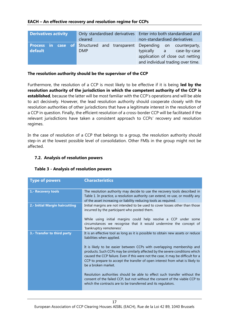| <b>Derivatives activity</b> | cleared    | Only standardised derivatives   Enter into both standardised and<br>non-standardised derivatives                                                                                     |  |
|-----------------------------|------------|--------------------------------------------------------------------------------------------------------------------------------------------------------------------------------------|--|
| default                     | <b>DMP</b> | <b>Process in case of</b> Structured and transparent Depending on counterparty,<br>typically a case-by-case<br>application of close out netting<br>and individual trading over time. |  |

#### **The resolution authority should be the supervisor of the CCP**

Furthermore, the resolution of a CCP is most likely to be effective if it is being **led by the resolution authority of the jurisdiction in which the competent authority of the CCP is established**, because the latter will be most familiar with the CCP's operations and will be able to act decisively. However, the lead resolution authority should cooperate closely with the resolution authorities of other jurisdictions that have a legitimate interest in the resolution of a CCP in question. Finally, the efficient resolution of a cross-border CCP will be facilitated if the relevant jurisdictions have taken a consistent approach to CCPs' recovery and resolution regimes.

In the case of resolution of a CCP that belongs to a group, the resolution authority should step-in at the lowest possible level of consolidation. Other FMIs in the group might not be affected.

# **7.2. Analysis of resolution powers**

| <b>Type of powers</b>          | <b>Characteristics</b>                                                                                                                                                                                                                                                                                                                              |
|--------------------------------|-----------------------------------------------------------------------------------------------------------------------------------------------------------------------------------------------------------------------------------------------------------------------------------------------------------------------------------------------------|
| 1.- Recovery tools             | The resolution authority may decide to use the recovery tools described in<br>Table 1. In practice, a resolution authority can extend, re-use, or modify any<br>of the asset increasing or liability reducing tools as required.                                                                                                                    |
| 2.- Initial Margin haircutting | Initial margins are not intended to be used to cover losses other than those<br>incurred by the participant who posted them.                                                                                                                                                                                                                        |
|                                | While using initial margins could help resolve a CCP under some<br>circumstances we recognise that it would undermine the concept of<br>'bankruptcy remoteness'.                                                                                                                                                                                    |
| 3.- Transfer to third party    | It is an effective tool as long as it is possible to obtain new assets or reduce<br>liabilities when applied.                                                                                                                                                                                                                                       |
|                                | It is likely to be easier between CCPs with overlapping membership and<br>products. Such CCPs may be similarly affected by the severe conditions which<br>caused the CCP failure. Even if this were not the case, it may be difficult for a<br>CCP to prepare to accept the transfer of open interest from what is likely to<br>be a broken market. |
|                                | Resolution authorities should be able to effect such transfer without the<br>consent of the failed CCP, but not without the consent of the viable CCP to<br>which the contracts are to be transferred and its regulators.                                                                                                                           |

#### **Table 3 - Analysis of resolution powers**